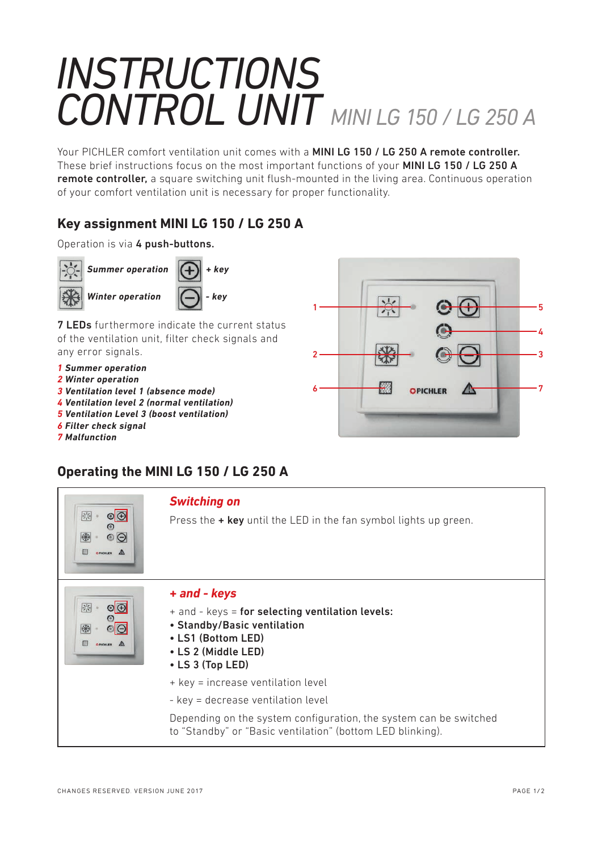# *INSTRUCTIONS CONTROL UNIT MINI LG 150 / LG 250 A*

Your PICHLER comfort ventilation unit comes with a MINI LG 150 / LG 250 A remote controller. These brief instructions focus on the most important functions of your MINI LG 150 / LG 250 A remote controller, a square switching unit flush-mounted in the living area. Continuous operation of your comfort ventilation unit is necessary for proper functionality.

## **Key assignment MINI LG 150 / LG 250 A**

#### Operation is via 4 push-buttons.



**7 LEDs** furthermore indicate the current status of the ventilation unit, filter check signals and any error signals.

- *1 Summer operation*
- *2 Winter operation*
- *3 Ventilation level 1 (absence mode)*
- *4 Ventilation level 2 (normal ventilation)*
- *5 Ventilation Level 3 (boost ventilation)*
- *6 Filter check signal*
- *7 Malfunction*



# **Operating the MINI LG 150 / LG 250 A**